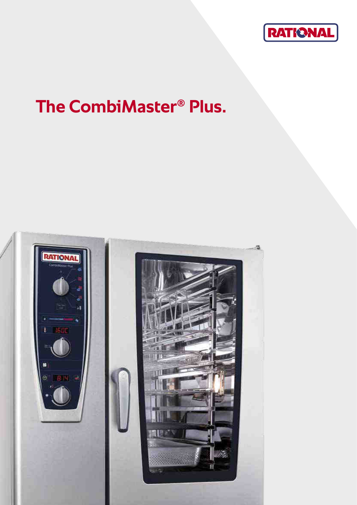

# **The CombiMaster® Plus.**

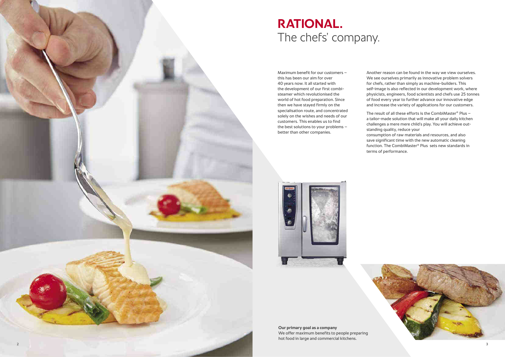

**Our primary goal as a company**  We offer maximum benefits to people preparing hot food in large and commercial kitchens.

Maximum benefit for our customers – this has been our aim for over 40 years now. It all started with the development of our first combisteamer which revolutionised the world of hot food preparation. Since then we have stayed firmly on the specialisation route, and concentrated solely on the wishes and needs of our customers. This enables us to find the best solutions to your problems – better than other companies.

Another reason can be found in the way we view ourselves. We see ourselves primarily as innovative problem solvers for chefs, rather than simply as machine-builders. This self-image is also reflected in our development work, where physicists, engineers, food scientists and chefs use 25 tonnes of food every year to further advance our innovative edge and increase the variety of applications for our customers.



The result of all these efforts is the CombiMaster ® Plus – a tailor-made solution that will make all your daily kitchen challenges a mere mere child's play. You will achieve outstanding quality, reduce your

consumption of raw materials and resources, and also save significant time with the new automatic cleaning function. The CombiMaster® Plus sets new standards in terms of performance.

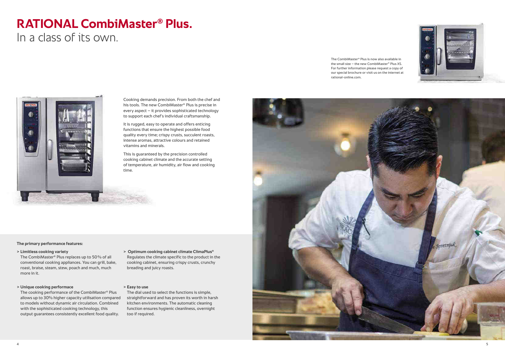

# **RATIONAL CombiMaster® Plus.**

In a class of its own.

Cooking demands precision. From both the chef and his tools. The new CombiMaster® Plus is precise in every aspect – it provides sophisticated technology to support each chef's individual craftsmanship.

It is rugged, easy to operate and offers enticing functions that ensure the highest possible food quality every time; crispy crusts, succulent roasts, intense aromas, attractive colours and retained vitamins and minerals.

This is guaranteed by the precision controlled cooking cabinet climate and the accurate setting of temperature, air humidity, air flow and cooking time.

# **The primary performance features:**

- **> Limitless cooking variety**
- The CombiMaster® Plus replaces up to 50 % of all conventional cooking appliances. You can grill, bake, roast, braise, steam, stew, poach and much, much more in it.

# **> Unique cooking performace**

The cooking performance of the CombiMaster® Plus allows up to 30% higher capacity utilisation compared to models without dynamic air circulation. Combined with the sophisticated cooking technology, this output guarantees consistently excellent food quality.

- **> Optimum cooking cabinet climate ClimaPlus®** Regulates the climate specific to the product in the cooking cabinet, ensuring crispy crusts, crunchy
- **> Easy to use**

breading and juicy roasts.

The dial used to select the functions is simple, straightforward and has proven its worth in harsh kitchen environments. The automatic cleaning function ensures hygienic cleanliness, overnight too if required.



The CombiMaster® Plus is now also available in the small size – the new CombiMaster® Plus XS. For further information please request a copy of our special brochure or visit us on the internet at rational-online.com.

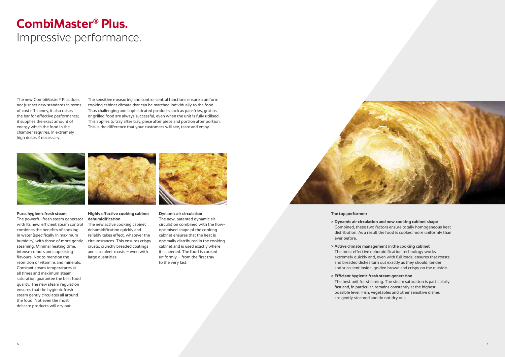# **CombiMaster® Plus.**  Impressive performance.

### **Highly effective cooking cabinet dehumidification**

The new active cooking cabinet dehumidification quickly and reliably takes effect, whatever the circumstances. This ensures crispy crusts, crunchy breaded coatings and succulent roasts – even with large quantities.



The new, patented dynamic air circulation combined with the flowoptimised shape of the cooking cabinet ensures that the heat is optimally distributed in the cooking cabinet and is used exactly where it is needed. The food is cooked uniformly  $-$  from the first tray to the very last.



### **Pure, hygienic fresh steam**

The powerful fresh steam generator with its new, efficient steam control combines the benefits of cooking in water (specifically in maximum humidity) with those of more gentle steaming. Minimal heating time, intense colours and appetising flavours. Not to mention the retention of vitamins and minerals. Constant steam temperatures at all times and maximum steam saturation guarantee the best food quality. The new steam regulation ensures that the hygienic fresh steam gently circulates all around the food. Not even the most delicate products will dry out.

#### **The top performer:**

### **> Dynamic air circulation and new cooking cabinet shape**

Combined, these two factors ensure totally homogeneous heat distribution. As a result the food is cooked more uniformly than

### **> Active climate management in the cooking cabinet**

The most effective dehumidification technology works extremely quickly and, even with full loads, ensures that roasts and breaded dishes turn out exactly as they should; tender and succulent inside, golden brown and crispy on the outside.

- ever before.
- 
- **> Efficient hygienic fresh steam generation**  are gently steamed and do not dry out.

The best unit for steaming. The steam saturation is particularly fast and, in particular, remains constantly at the highest possible level. Fish, vegetables and other sensitive dishes

The new CombiMaster® Plus does not just set new standards in terms of cost efficiency, it also raises the bar for effective performance; it supplies the exact amount of energy which the food in the chamber requires, in extremely high doses if necessary.

The sensitive measuring and control central functions ensure a uniform cooking cabinet climate that can be matched individually to the food. Thus challenging and sophisticated products such as pan-fries, gratins or grilled food are always successful, even when the unit is fully utilised. This applies to tray after tray, piece after piece and portion after portion. This is the difference that your customers will see, taste and enjoy.

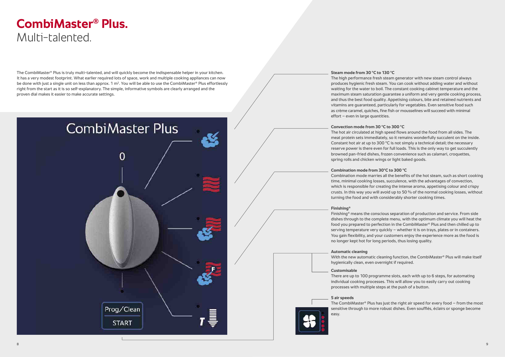The CombiMaster® Plus is truly multi-talented, and will quickly become the indispensable helper in your kitchen. It has a very modest footprint. What earlier required lots of space, work and multiple cooking appliances can now be done with just a single unit on less than approx. 1  $m^2$ . You will be able to use the CombiMaster® Plus effortlessly right from the start as it is so self-explanatory. The simple, informative symbols are clearly arranged and the proven dial makes it easier to make accurate settings.



# **CombiMaster® Plus.**  Multi-talented.

**Steam mode from 30 °C to 130 °C**  The high performance fresh steam generator with new steam control always produces hygienic fresh steam. You can cook without adding water and without waiting for the water to boil. The constant cooking cabinet temperature and the maximum steam saturation guarantee a uniform and very gentle cooking process, and thus the best food quality. Appetising colours, bite and retained nutrients and vitamins are guaranteed, particularly for vegetables. Even sensitive food such as crème caramel, quiches, fine fish or mousselines will succeed with minimal effort – even in large quantities.

**Convection mode from 30 °C to 300 °C** 

The hot air circulated at high speed flows around the food from all sides. The meat protein sets immediately, so it remains wonderfully succulent on the inside. Constant hot air at up to 300 °C is not simply a technical detail; the necessary reserve power is there even for full loads. This is the only way to get succulently browned pan-fried dishes, frozen convenience such as calamari, croquettes, spring rolls and chicken wings or light baked goods.

**Combination mode from 30°C to 300 °C** 

Combination mode marries all the benefits of the hot steam, such as short cooking time, minimal cooking losses, succulence, with the advantages of convection, which is responsible for creating the intense aroma, appetising colour and crispy crusts. In this way you will avoid up to 50 % of the normal cooking losses, without turning the food and with considerably shorter cooking times.

# **Finishing®**

Finishing® means the conscious separation of production and service. From side dishes through to the complete menu, with the optimum climate you will heat the food you prepared to perfection in the CombiMaster ® Plus and then chilled up to serving temperature very quickly – whether it is on trays, plates or in containers. You gain flexibility, and your customers enjoy the experience more as the food is no longer kept hot for long periods, thus losing quality.

# **Automatic cleaning**

With the new automatic cleaning function, the CombiMaster ® Plus will make itself hygienically clean, even overnight if required.

# **Customisable**

There are up to 100 programme slots, each with up to 6 steps, for automating individual cooking processes. This will allow you to easily carry out cooking processes with multiple steps at the push of a button.

# **5 air speeds**

The CombiMaster® Plus has just the right air speed for every food – from the most sensitive through to more robust dishes. Even soufflés, éclairs or sponge become easy.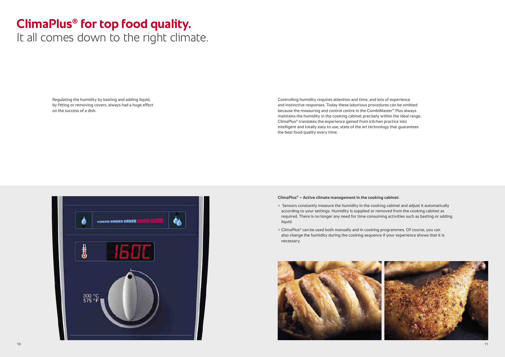# **ClimaPlus® for top food quality.**

It all comes down to the right climate.

Regulating the humidity by basting and adding liquid, by fitting or removing covers, always had a huge effect on the success of a dish.

Controlling humidity requires attention and time, and lots of experience and instinctive responses. Today these laborious procedures can be omitted because the measuring and control centre in the CombiMaster® Plus always maintains the humidity in the cooking cabinet precisely within the ideal range. ClimaPlus® translates the experience gained from kitchen practice into intelligent and totally easy to use, state of the art technology that guarantees the best food quality every time.

#### **ClimaPlus® – Active climate management in the cooking cabinet:**

- > Sensors constantly measure the humidity in the cooking cabinet and adjust it automatically according to your settings. Humidity is supplied or removed from the cooking cabinet as required. There is no longer any need for time consuming activities such as basting or adding liquid.
- > ClimaPlus® can be used both manually and in cooking programmes. Of course, you can also change the humidity during the cooking sequence if your experience shows that it is necessary.



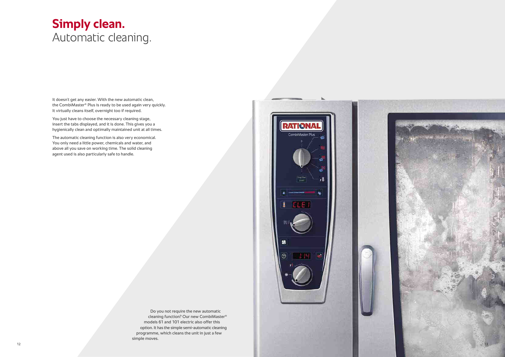# **Simply clean.** Automatic cleaning.

It doesn't get any easier. With the new automatic clean, the CombiMaster® Plus is ready to be used again very quickly. It virtually cleans itself, overnight too if required.

You just have to choose the necessary cleaning stage, insert the tabs displayed, and it is done. This gives you a hygienically clean and optimally maintained unit at all times.

The automatic cleaning function is also very economical. You only need a little power, chemicals and water, and above all you save on working time. The solid cleaning agent used is also particularly safe to handle.

> Do you not require the new automatic cleaning function? Our new CombiMaster® models 61 and 101 electric also offer this option. It has the simple semi-automatic cleaning programme, which cleans the unit in just a few simple moves.



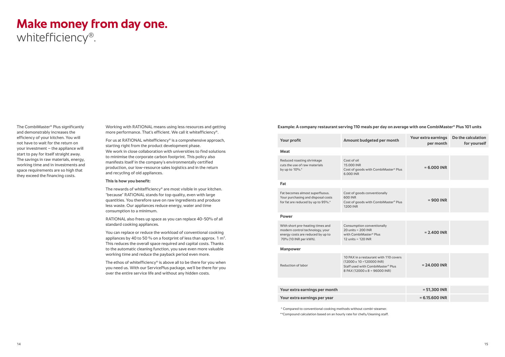# **Make money from day one.**

whitefficiency®.

The CombiMaster® Plus significantly and demonstrably increases the efficiency of your kitchen. You will not have to wait for the return on your investment – the appliance will start to pay for itself straight away. The savings in raw materials, energy, working time and in investments and space requirements are so high that they exceed the financing costs.

For us at RATIONAL whitefficiency<sup>®</sup> is a comprehensive approach, starting right from the product development phase. We work in close collaboration with universities to find solutions to minimise the corporate carbon footprint. This policy also manifests itself in the company's environmentally certified production, our low-resource sales logistics and in the return and recycling of old appliances.

 Working with RATIONAL means using less resources and getting more performance. That's efficient. We call it whitefficiency®.

The ethos of whitefficiency<sup>®</sup> is above all to be there for you when you need us. With our ServicePlus package, we'll be there for you over the entire service life and without any hidden costs.

#### **This is how you benefit:**

The rewards of whitefficiency® are most visible in your kitchen. "because" RATIONAL stands for top quality, even with large quantities. You therefore save on raw ingredients and produce less waste. Our appliances reduce energy, water and time consumption to a minimum.

RATIONAL also frees up space as you can replace 40-50% of all standard cooking appliances.

You can replace or reduce the workload of conventional cooking appliances by 40 to 50 % on a footprint of less than approx. 1  $m^2$ . This reduces the overall space required and capital costs. Thanks to the automatic cleaning function, you save even more valuable working time and reduce the payback period even more.

# **Example: A company restaurant serving 110 meals per day on average with one CombiMaster ® Plus 101 units**

| Meat<br>Cost of oil<br>Reduced roasting shrinkage<br>cuts the use of raw materials<br>15,000 INR<br>$= 6,000$ INR<br>by up to 10%.*<br>Cost of goods with CombiMaster® Plus<br>6.000 INR<br>Fat<br>Fat becomes almost superfluous.<br>Cost of goods conventionally<br>Your purchasing and disposal costs<br>600 INR<br>$= 900$ INR | Do the calculation<br>for yourself |  |  |  |
|------------------------------------------------------------------------------------------------------------------------------------------------------------------------------------------------------------------------------------------------------------------------------------------------------------------------------------|------------------------------------|--|--|--|
|                                                                                                                                                                                                                                                                                                                                    |                                    |  |  |  |
|                                                                                                                                                                                                                                                                                                                                    |                                    |  |  |  |
|                                                                                                                                                                                                                                                                                                                                    |                                    |  |  |  |
| for fat are reduced by up to 95%.*<br>Cost of goods with CombiMaster® Plus<br><b>1200 INR</b>                                                                                                                                                                                                                                      |                                    |  |  |  |
| <b>Power</b>                                                                                                                                                                                                                                                                                                                       |                                    |  |  |  |
| With short pre-heating times and<br>Consumption conventionally<br>modern control technology, your<br>$20$ units = $200$ INR<br>$= 2.400$ INR<br>energy costs are reduced by up to<br>with CombiMaster® Plus<br>70% (10 INR per kWh).<br>12 units = 120 INR                                                                         |                                    |  |  |  |
| <b>Manpower</b>                                                                                                                                                                                                                                                                                                                    |                                    |  |  |  |
| 10 PAX in a restaurant with 110 covers<br>$(12000 \times 10 = 120000$ INR)<br>$= 24.000$ INR<br>Reduction of labor<br>Staff used with CombiMaster <sup>®</sup> Plus<br>8 PAX (12000 x 8 = 96000 INR)                                                                                                                               |                                    |  |  |  |
|                                                                                                                                                                                                                                                                                                                                    |                                    |  |  |  |
| Your extra earnings per month<br>$= 51,300$ INR                                                                                                                                                                                                                                                                                    |                                    |  |  |  |
| $= 6.15.600$ INR<br>Your extra earnings per year                                                                                                                                                                                                                                                                                   |                                    |  |  |  |

\* Compared to conventional cooking methods without combi-steamer.

\*\*Compound calculation based on an hourly rate for chefs/cleaning staff.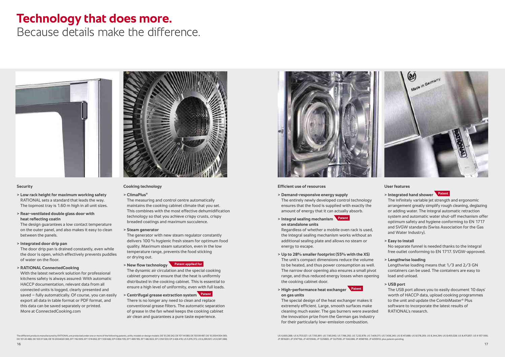# **Technology that does more.**

Because details make the difference.



### **Security**

- **> Low rack height for maximum working safety**  RATIONAL sets a standard that leads the way. The topmost tray is 1.60 m high in all unit sizes.
- **> Rear-ventilated double glass door with heat reflecting coatin**

 The design guarantees a low contact temperature on the outer panel, and also makes it easy to clean between the panels.

 **> Integrated door drip pan**

 The door drip pan is drained constantly, even while the door is open, which effectively prevents puddles of water on the floor.

# **> RATIONAL ConnectedCooking**

With the latest network solution for professional kitchens safety is always assured: With automatic HACCP documentation, relevant data from all connected units is logged, clearly presented and saved – fully automatically. Of course, you can easily export all data in table format or PDF format, and this data can be saved separately or printed. More at ConnectedCooking.com



# **Cooking technology**

 **> ClimaPlus®**

 The measuring and control centre automatically maintains the cooking cabinet climate that you set. This combines with the most effective dehumidification technology so that you achieve crispy crusts, crispy breaded coatings and maximum succulence.

**> Steam generator**

The generator with new steam regulator constantly delivers 100 % hygienic fresh steam for optimum food quality. Maximum steam saturation, even in the low temperature range, prevents the food sticking or drying out.

**> New flow technology Patent applied for**



 The dynamic air circulation and the special cooking cabinet geometry ensure that the heat is uniformly distributed in the cooking cabinet. This is essential to ensure a high level of uniformity, even with full loads.

**> Centrifugal grease extraction system Patent** There is no longer any need to clean and replace conventional grease filters. The automatic separation of grease in the fan wheel keeps the cooking cabinet air clean and guarantees a pure taste experience.



### **Efficient use of resources**

- **> Demand-responsive energy supply** The entirely newly developed control technology ensures that the food is supplied with exactly the
- amount of energy that it can actually absorb. **> Integral sealing mechanism Patent on standalone units**

Regardless of whether a mobile oven rack is used, the integral sealing mechanism works without an additional sealing plate and allows no steam or energy to escape.

**> Up to 28% smaller footprint (55% with the XS)**  The unit's compact dimensions reduce the volume to be heated, and thus power consumption as well. The narrow door opening also ensures a small pivot range, and thus reduced energy losses when opening the cooking cabinet door.

**> High-performance heat exchanger Patent on gas units** 

The special design of the heat exchanger makes it extremely efficient. Large, smooth surfaces make cleaning much easier. The gas burners were awarded the innovation prize from the German gas industry for their particularly low-emission combustion.

### **User features**

# **> Integrated hand shower Patent**

 The infinitely variable jet strength and ergonomic arrangement greatly simplify rough cleaning, deglazing or adding water. The integral automatic retraction system and automatic water shut-off mechanism offer optimum safety and hygiene conforming to EN 1717 and SVGW standards (Swiss Association for the Gas and Water Industry).

#### **> Easy to install**

 No separate funnel is needed thanks to the integral free outlet conforming to EN 1717. SVGW-approved.

#### **> Lengthwise loading**

 Lengthwise loading means that 1/3 and 2/3 GN containers can be used. The containers are easy to load and unload.

### **> USB port**

 The USB port allows you to easily document 10 days' worth of HACCP data, upload cooking programmes to the unit and update the CombiMaster ® Plus software to incorporate the latest results of RATIONAL's research.

The different products manufactured by RATIONAL are protected under one or more of the following patents, utility models or design models: DE 10 230 242; DE 101 14 080; DE 103 09 487; DE 10 2004 004 393; DE 101 20 488; DE 103 01 526; DE 10 2004020 365; EP 1 162 905; EP 1 519 652; EP 1 530 682; EP 0 856 705; EP 1 499 195; EP 1 682 822; EP 2 350 533; EP 2 426 419; US 5,915,372; US 6,299,921; US 6,581,588; JP 3916261; JP 3747156; JP 4010946; JP 1225865; JP 1227539; JP 1342288; JP 4598769; JP 4255912; plus patents pending

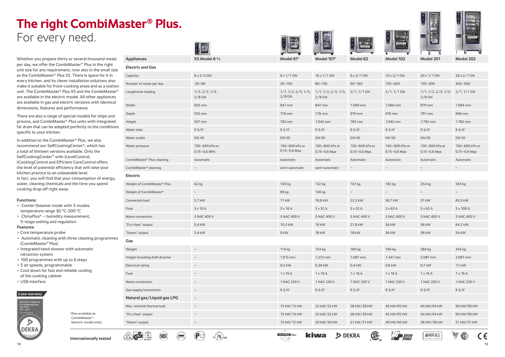







Whether you prepare thirty or several thousand meals per day, we offer the CombiMaster® Plus in the right unit size for any requirement, now also in the small size as the CombiMaster® Plus XS. There is space for it in every kitchen, and its clever installation solutions also make it suitable for front-cooking areas and as a station unit. The CombiMaster® Plus XS and the CombiMaster® are available in the electric model. All other appliances are available in gas and electric versions with identical dimensions, features and performance.

There are also a range of special models for ships and prisons, and CombiMaster® Plus units with integrated fat drain that can be adapted perfectly to the conditions specific to your kitchen.

- > Core temperature probe
- > Automatic cleaning with three cleaning programmes (CombiMaster® Plus)
- > Integrated hand shower with automatic retraction system
- > 100 programmes with up to 6 steps
- > 5 air speeds, programmable
- > Cool down for fast and reliable cooling of the cooking cabinet
- > USB interface

In addition to the CombiMaster® Plus, we also recommend our SelfCookingCenter®, which has a total of thirteen versions available. Only the SelfCookingCenter® with iLevelControl, iCookingControl and Efficient CareControl offers the level of potential efficiency that will raise your kitchen practice to an unbeatable level. In fact, you will find that your consumption of energy, water, cleaning chemicals and the time you spend cooking drop off right away.

# **Functions:**

- > Combi-Steamer mode with 3 modes: temperature range 30 °C-300 °C
- > ClimaPlus® humidity measurement, 5-stage setting and regulation

### **Features:**

# **The right CombiMaster® Plus.** For every need.

**Internationally tested**

(NSE)

 $\left(\overline{\phantom{m}}\right)$ 

(Pd

<sub>ເ</sub>( UL)<sub>ບ:</sub>



| $10 \times 1/1$ GN                          | $6 \times 2/1$ GN                | $10 \times 2/1$ GN               | $20 \times 1/1$ GN                          | $20 \times 2 / 1$ GN             |
|---------------------------------------------|----------------------------------|----------------------------------|---------------------------------------------|----------------------------------|
| $80 - 150$                                  | $60 - 160$                       | $150 - 300$                      | $150 - 300$                                 | $300 - 500$                      |
| $1/1$ , $1/2$ , $2/3$ , $1/3$ ,<br>$2/8$ GN | $2/1, 1/1$ GN                    | $2/1, 1/1$ GN                    | $1/1$ , $1/2$ , $2/3$ , $1/3$ ,<br>$2/8$ GN | $2/1, 1/1$ GN                    |
| 847 mm                                      | 1.069 mm                         | 1.069 mm                         | 879 mm                                      | 1.084 mm                         |
| 776 mm                                      | 976 mm                           | 976 mm                           | 791 mm                                      | 996 mm                           |
| 1.042 mm                                    | 782 mm                           | 1.042 mm                         | 1.782 mm                                    | 1.782 mm                         |
| R 3/4"                                      | $R3/4$ "                         | $R3/4$ "                         | $R3/4$ "                                    | $R3/4$ "                         |
| <b>DN 50</b>                                | <b>DN 50</b>                     | <b>DN 50</b>                     | <b>DN 50</b>                                | <b>DN 50</b>                     |
| 150-600 kPa or<br>$0,15-0,6$ Mpa            | 150-600 kPa or<br>$0,15-0,6$ Mpa | 150-600 kPa or<br>$0,15-0,6$ Mpa | 150-600 kPa or<br>$0,15-0,6$ Mpa            | 150-600 kPa or<br>$0,15-0,6$ Mpa |
| Automatic                                   | Automatic                        | Automatic                        | Automatic                                   | Automatic                        |
| semi-automatic                              |                                  |                                  |                                             |                                  |

| 182 kg          | 254 kg          | 334 kg      |
|-----------------|-----------------|-------------|
|                 |                 |             |
| 36,7 kW         | 37 kW           | 65,5 kW     |
| $3 \times 63$ A | $3 \times 63$ A | 3 x 100 A   |
| 3 NAC 400 V     | 3 NAC 400 V     | 3 NAC 400 V |
| 36 kW           | 36 kW           | 64,2 kW     |
| 36 kW           | 36 kW           | 54 kW       |

| 196 kg          | 284 kg          | 354 kg          |
|-----------------|-----------------|-----------------|
| 1.347 mm        | 2.087 mm        | 2.087 mm        |
| $0.6$ kW        | $0.7$ kW        | 1,1 kW          |
| $1 \times 16$ A | $1 \times 16$ A | $1 \times 16$ A |
| 1 NAC 230 V     | 1 NAC 230 V     | 1 NAC 230 V     |
| $R3/4$ "        | $R3/4$ "        | R 3/4"          |
|                 |                 |                 |
| 45 kW/45 kW     | 44 kW/44 kW     | 90 kW/90 kW     |
|                 |                 |                 |

**M** SVGW









GASTER PIN

≪

**kiwa** 

D DEKRA

**GP** 

| *Also available as       |
|--------------------------|
| CombiMaster <sup>®</sup> |
| (electric model only).   |
|                          |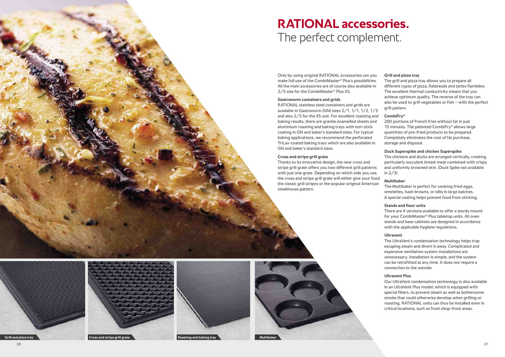# **RATIONAL accessories.** The perfect complement.

Only by using original RATIONAL accessories can you make full use of the CombiMaster® Plus's possibilities. All the main accessories are of course also available in 2/3 size for the CombiMaster® Plus XS.

# **Gastronorm containers and grids**

RATIONAL stainless steel containers and grids are available in Gastronorm (GN) sizes 2/1, 1/1, 1/2, 1/3 and also 2/3 for the XS unit. For excellent roasting and baking results, there are granite enamelled sheets and aluminium roasting and baking trays with non-stick coating in GN and baker's standard sizes. For typical baking applications, we recommend the perforated TriLax-coated baking trays which are also available in GN and baker's standard sizes.

# **Cross and stripe grill grate**

Thanks to its innovative design, the new cross and stripe grill grate offers you two different grill patterns with just one grate. Depending on which side you use, the cross and stripe grill grate will either give your food the classic grill stripes or the popular original American steakhouse pattern.



# **Grill and pizza tray**

 The grill and pizza tray allows you to prepare all different types of pizza, flatbreads and tartes flambées. The excellent thermal conductivity means that you achieve optimum quality. The reverse of the tray can also be used to grill vegetables or fish – with the perfect grill pattern.

# **CombiFry®**

200 portions of French fries without fat in just 15 minutes. The patented CombiFry ® allows large quantities of pre-fried products to be prepared. Completely eliminates the cost of fat purchase, storage and disposal.

# **Duck Superspike and chicken Superspike**

The chickens and ducks are arranged vertically, creating particularly succulent breast meat combined with crispy and uniformly browned skin. (Duck Spike not available in 2/3)

# **Multibaker**

 The Multibaker is perfect for cooking fried eggs, omelettes, hash browns, or idlis in large batches. A special coating helps prevent food from sticking.

# **Stands and floor units**

 There are 4 versions available to offer a sturdy mount for your CombiMaster ® Plus tabletop units. All oven stands and base cabinets are designed in accordance with the applicable hygiene regulations.

# **Ultravent**

 The UltraVent's condensation technology helps trap escaping steam and divert it away. Complicated and expensive ventilation system installations are unnecessary. Installation is simple, and the system can be retrofitted at any time. It does not require a connection to the outside.

# **Ultravent Plus**

 Our UltraVent condensation technology is also available in an UltraVent Plus model, which is equipped with special filters. to prevent steam as well as bothersome smoke that could otherwise develop when grilling or roasting. RATIONAL units can thus be installed even in critical locations, such as front shop-front areas.







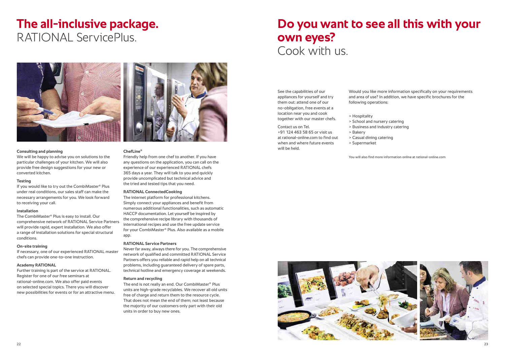



### **Consulting and planning**

We will be happy to advise you on solutions to the particular challenges of your kitchen. We will also provide free design suggestions for your new or converted kitchen.

#### **Testing**

If you would like to try out the CombiMaster® Plus under real conditions, our sales staff can make the necessary arrangements for you. We look forward to receiving your call.

#### **Installation**

The CombiMaster® Plus is easy to install. Our comprehensive network of RATIONAL Service Partners will provide rapid, expert installation. We also offer a range of installation solutions for special structural conditions.

#### **On-site training**

If necessary, one of our experienced RATIONAL master chefs can provide one-to-one instruction.

### **Academy RATIONAL**

Further training is part of the service at RATIONAL. Register for one of our free seminars at rational-online.com. We also offer paid events on selected special topics. There you will discover new possibilities for events or for an attractive menu.

### **ChefLine®**

Friendly help from one chef to another. If you have any questions on the application, you can call on the experience of our experienced RATIONAL chefs 365 days a year. They will talk to you and quickly provide uncomplicated but technical advice and the tried and tested tips that you need.

#### **RATIONAL ConnectedCooking**

The internet platform for professional kitchens. Simply connect your appliances and benefit from numerous additional functionalities, such as automatic HACCP documentation. Let yourself be inspired by the comprehensive recipe library with thousands of international recipes and use the free update service for your CombiMaster® Plus. Also available as a mobile app.

### **RATIONAL Service Partners**

Never far away, always there for you. The comprehensive network of qualified and committed RATIONAL Service Partners offers you reliable and rapid help on all technical problems, including guaranteed delivery of spare parts, technical hotline and emergency coverage at weekends.

#### **Return and recycling**

The end is not really an end. Our CombiMaster® Plus units are high-grade recyclables. We recover all old units free of charge and return them to the resource cycle. That does not mean the end of them; not least because the majority of our customers only part with their old units in order to buy new ones.

# **The all-inclusive package.**  RATIONAL ServicePlus.



Would you like more information specifically on your requirements and area of use? In addition, we have specific brochures for the following operations:

> Hospitality

> School and nursery catering > Business and industry catering

- > Bakery
- > Casual dining catering
- > Supermarket

You will also find more information online at rational-online.com



# **Do you want to see all this with your own eyes?**  Cook with us.

See the capabilities of our appliances for yourself and try them out: attend one of our no-obligation, free events at a location near you and cook together with our master chefs.

Contact us on Tel. +91 124 463 58 65 or visit us at rational-online.com to find out when and where future events will be held.